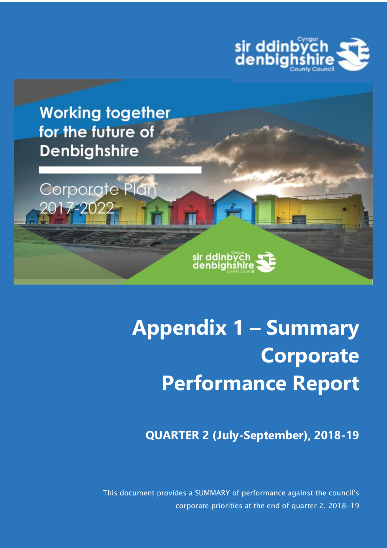



Corporate Plan

2017-202



sir ddinbych<br>denbighshire

**QUARTER 2 (July-September), 2018-19**

This document provides a SUMMARY of performance against the council's corporate priorities at the end of quarter 2, 2018-19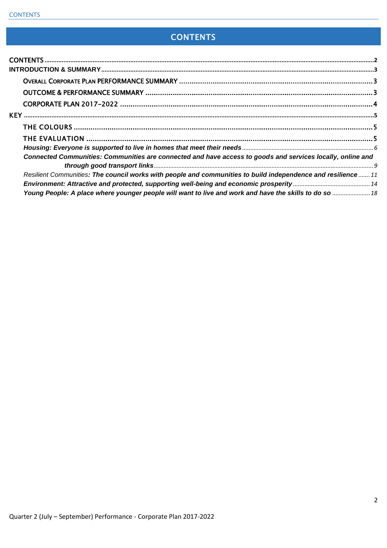# **CONTENTS**

<span id="page-1-0"></span>

| Connected Communities: Communities are connected and have access to goods and services locally, online and  |  |
|-------------------------------------------------------------------------------------------------------------|--|
| Resilient Communities: The council works with people and communities to build independence and resilience11 |  |
|                                                                                                             |  |
| Young People: A place where younger people will want to live and work and have the skills to do so  18      |  |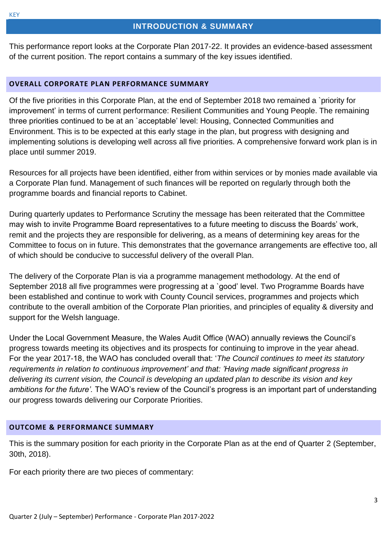#### **INTRODUCTION & SUMMARY**

<span id="page-2-0"></span>This performance report looks at the Corporate Plan 2017-22. It provides an evidence-based assessment of the current position. The report contains a summary of the key issues identified.

#### <span id="page-2-1"></span>**OVERALL CORPORATE PLAN PERFORMANCE SUMMARY**

Of the five priorities in this Corporate Plan, at the end of September 2018 two remained a `priority for improvement' in terms of current performance: Resilient Communities and Young People. The remaining three priorities continued to be at an `acceptable' level: Housing, Connected Communities and Environment. This is to be expected at this early stage in the plan, but progress with designing and implementing solutions is developing well across all five priorities. A comprehensive forward work plan is in place until summer 2019.

Resources for all projects have been identified, either from within services or by monies made available via a Corporate Plan fund. Management of such finances will be reported on regularly through both the programme boards and financial reports to Cabinet.

During quarterly updates to Performance Scrutiny the message has been reiterated that the Committee may wish to invite Programme Board representatives to a future meeting to discuss the Boards' work, remit and the projects they are responsible for delivering, as a means of determining key areas for the Committee to focus on in future. This demonstrates that the governance arrangements are effective too, all of which should be conducive to successful delivery of the overall Plan.

The delivery of the Corporate Plan is via a programme management methodology. At the end of September 2018 all five programmes were progressing at a `good' level. Two Programme Boards have been established and continue to work with County Council services, programmes and projects which contribute to the overall ambition of the Corporate Plan priorities, and principles of equality & diversity and support for the Welsh language.

Under the Local Government Measure, the Wales Audit Office (WAO) annually reviews the Council's progress towards meeting its objectives and its prospects for continuing to improve in the year ahead. For the year 2017-18, the WAO has concluded overall that: '*The Council continues to meet its statutory requirements in relation to continuous improvement' and that: 'Having made significant progress in delivering its current vision, the Council is developing an updated plan to describe its vision and key ambitions for the future'.* The WAO's review of the Council's progress is an important part of understanding our progress towards delivering our Corporate Priorities.

#### <span id="page-2-2"></span>**OUTCOME & PERFORMANCE SUMMARY**

This is the summary position for each priority in the Corporate Plan as at the end of Quarter 2 (September, 30th, 2018).

For each priority there are two pieces of commentary: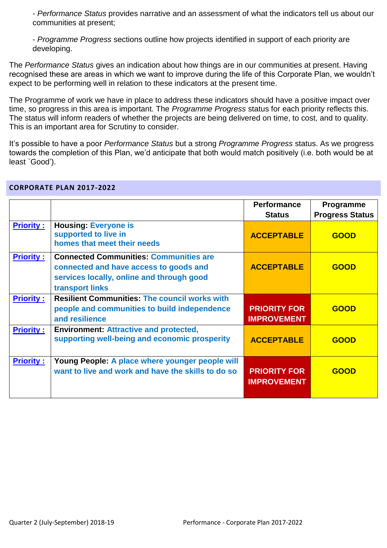- *Performance Status* provides narrative and an assessment of what the indicators tell us about our communities at present;

- *Programme Progress* sections outline how projects identified in support of each priority are developing.

The *Performance Status* gives an indication about how things are in our communities at present. Having recognised these are areas in which we want to improve during the life of this Corporate Plan, we wouldn't expect to be performing well in relation to these indicators at the present time.

The Programme of work we have in place to address these indicators should have a positive impact over time, so progress in this area is important. The *Programme Progress* status for each priority reflects this. The status will inform readers of whether the projects are being delivered on time, to cost, and to quality. This is an important area for Scrutiny to consider.

It's possible to have a poor *Performance Status* but a strong *Programme Progress* status. As we progress towards the completion of this Plan, we'd anticipate that both would match positively (i.e. both would be at least `Good').

|                  |                                                                                                                                                         | <b>Performance</b><br><b>Status</b>       | <b>Programme</b><br><b>Progress Status</b> |
|------------------|---------------------------------------------------------------------------------------------------------------------------------------------------------|-------------------------------------------|--------------------------------------------|
| <b>Priority:</b> | <b>Housing: Everyone is</b><br>supported to live in<br>homes that meet their needs                                                                      | <b>ACCEPTABLE</b>                         | <b>GOOD</b>                                |
| <b>Priority:</b> | <b>Connected Communities: Communities are</b><br>connected and have access to goods and<br>services locally, online and through good<br>transport links | <b>ACCEPTABLE</b>                         | <b>GOOD</b>                                |
| <b>Priority:</b> | <b>Resilient Communities: The council works with</b><br>people and communities to build independence<br>and resilience                                  | <b>PRIORITY FOR</b><br><b>IMPROVEMENT</b> | <b>GOOD</b>                                |
| <b>Priority:</b> | <b>Environment: Attractive and protected,</b><br>supporting well-being and economic prosperity                                                          | <b>ACCEPTABLE</b>                         | <b>GOOD</b>                                |
| <b>Priority:</b> | Young People: A place where younger people will<br>want to live and work and have the skills to do so                                                   | <b>PRIORITY FOR</b><br><b>IMPROVEMENT</b> | <b>GOOD</b>                                |

#### <span id="page-3-0"></span>**CORPORATE PLAN 2017-2022**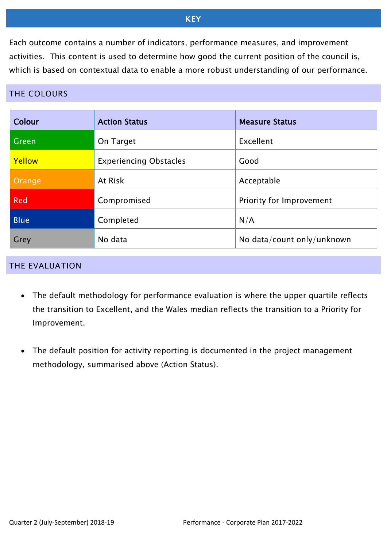### KEY

<span id="page-4-0"></span>Each outcome contains a number of indicators, performance measures, and improvement activities. This content is used to determine how good the current position of the council is, which is based on contextual data to enable a more robust understanding of our performance.

### <span id="page-4-1"></span>THE COLOURS

| Colour      | <b>Action Status</b>          | <b>Measure Status</b>      |
|-------------|-------------------------------|----------------------------|
| Green       | On Target                     | Excellent                  |
| Yellow      | <b>Experiencing Obstacles</b> | Good                       |
| Orange      | At Risk                       | Acceptable                 |
| <b>Red</b>  | Compromised                   | Priority for Improvement   |
| <b>Blue</b> | Completed                     | N/A                        |
| Grey        | No data                       | No data/count only/unknown |

#### <span id="page-4-2"></span>THE EVALUATION

- The default methodology for performance evaluation is where the upper quartile reflects the transition to Excellent, and the Wales median reflects the transition to a Priority for Improvement.
- The default position for activity reporting is documented in the project management methodology, summarised above (Action Status).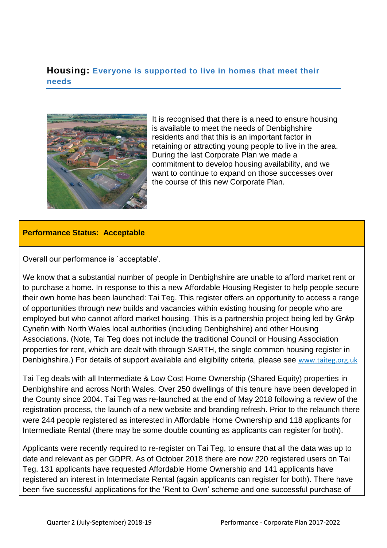### <span id="page-5-0"></span>**Housing: Everyone is supported to live in homes that meet their needs**



It is recognised that there is a need to ensure housing is available to meet the needs of Denbighshire residents and that this is an important factor in retaining or attracting young people to live in the area. During the last Corporate Plan we made a commitment to develop housing availability, and we want to continue to expand on those successes over the course of this new Corporate Plan.

#### **Performance Status: Acceptable**

Overall our performance is `acceptable'.

We know that a substantial number of people in Denbighshire are unable to afford market rent or to purchase a home. In response to this a new Affordable Housing Register to help people secure their own home has been launched: Tai Teg. This register offers an opportunity to access a range of opportunities through new builds and vacancies within existing housing for people who are employed but who cannot afford market housing. This is a partnership project being led by Grŵp Cynefin with North Wales local authorities (including Denbighshire) and other Housing Associations. (Note, Tai Teg does not include the traditional Council or Housing Association properties for rent, which are dealt with through SARTH, the single common housing register in Denbighshire.) For details of support available and eligibility criteria, please see [www.taiteg.org.uk](http://www.taiteg.org.uk/)

Tai Teg deals with all Intermediate & Low Cost Home Ownership (Shared Equity) properties in Denbighshire and across North Wales. Over 250 dwellings of this tenure have been developed in the County since 2004. Tai Teg was re-launched at the end of May 2018 following a review of the registration process, the launch of a new website and branding refresh. Prior to the relaunch there were 244 people registered as interested in Affordable Home Ownership and 118 applicants for Intermediate Rental (there may be some double counting as applicants can register for both).

Applicants were recently required to re-register on Tai Teg, to ensure that all the data was up to date and relevant as per GDPR. As of October 2018 there are now 220 registered users on Tai Teg. 131 applicants have requested Affordable Home Ownership and 141 applicants have registered an interest in Intermediate Rental (again applicants can register for both). There have been five successful applications for the 'Rent to Own' scheme and one successful purchase of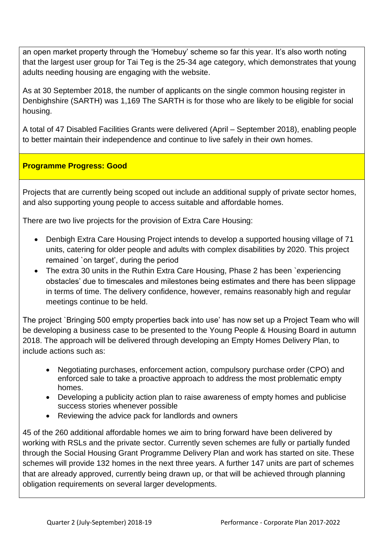an open market property through the 'Homebuy' scheme so far this year. It's also worth noting that the largest user group for Tai Teg is the 25-34 age category, which demonstrates that young adults needing housing are engaging with the website.

As at 30 September 2018, the number of applicants on the single common housing register in Denbighshire (SARTH) was 1,169 The SARTH is for those who are likely to be eligible for social housing.

A total of 47 Disabled Facilities Grants were delivered (April – September 2018), enabling people to better maintain their independence and continue to live safely in their own homes.

### **Programme Progress: Good**

Projects that are currently being scoped out include an additional supply of private sector homes, and also supporting young people to access suitable and affordable homes.

There are two live projects for the provision of Extra Care Housing:

- Denbigh Extra Care Housing Project intends to develop a supported housing village of 71 units, catering for older people and adults with complex disabilities by 2020. This project remained `on target', during the period
- The extra 30 units in the Ruthin Extra Care Housing, Phase 2 has been `experiencing obstacles' due to timescales and milestones being estimates and there has been slippage in terms of time. The delivery confidence, however, remains reasonably high and regular meetings continue to be held.

The project `Bringing 500 empty properties back into use' has now set up a Project Team who will be developing a business case to be presented to the Young People & Housing Board in autumn 2018. The approach will be delivered through developing an Empty Homes Delivery Plan, to include actions such as:

- Negotiating purchases, enforcement action, compulsory purchase order (CPO) and enforced sale to take a proactive approach to address the most problematic empty homes.
- Developing a publicity action plan to raise awareness of empty homes and publicise success stories whenever possible
- Reviewing the advice pack for landlords and owners

45 of the 260 additional affordable homes we aim to bring forward have been delivered by working with RSLs and the private sector. Currently seven schemes are fully or partially funded through the Social Housing Grant Programme Delivery Plan and work has started on site. These schemes will provide 132 homes in the next three years. A further 147 units are part of schemes that are already approved, currently being drawn up, or that will be achieved through planning obligation requirements on several larger developments.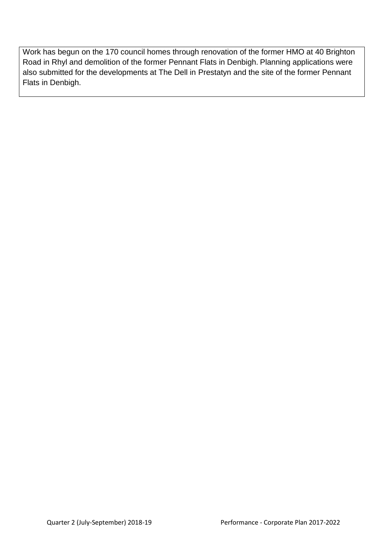Work has begun on the 170 council homes through renovation of the former HMO at 40 Brighton Road in Rhyl and demolition of the former Pennant Flats in Denbigh. Planning applications were also submitted for the developments at The Dell in Prestatyn and the site of the former Pennant Flats in Denbigh.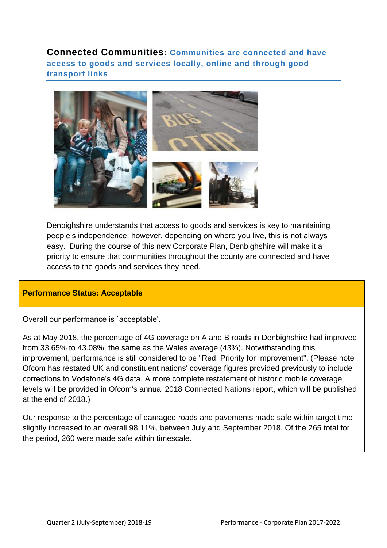<span id="page-8-0"></span>**Connected Communities: Communities are connected and have access to goods and services locally, online and through good transport links** 



Denbighshire understands that access to goods and services is key to maintaining people's independence, however, depending on where you live, this is not always easy. During the course of this new Corporate Plan, Denbighshire will make it a priority to ensure that communities throughout the county are connected and have access to the goods and services they need.

#### **Performance Status: Acceptable**

Overall our performance is `acceptable'.

As at May 2018, the percentage of 4G coverage on A and B roads in Denbighshire had improved from 33.65% to 43.08%; the same as the Wales average (43%). Notwithstanding this improvement, performance is still considered to be "Red: Priority for Improvement". (Please note Ofcom has restated UK and constituent nations' coverage figures provided previously to include corrections to Vodafone's 4G data. A more complete restatement of historic mobile coverage levels will be provided in Ofcom's annual 2018 Connected Nations report, which will be published at the end of 2018.)

Our response to the percentage of damaged roads and pavements made safe within target time slightly increased to an overall 98.11%, between July and September 2018. Of the 265 total for the period, 260 were made safe within timescale.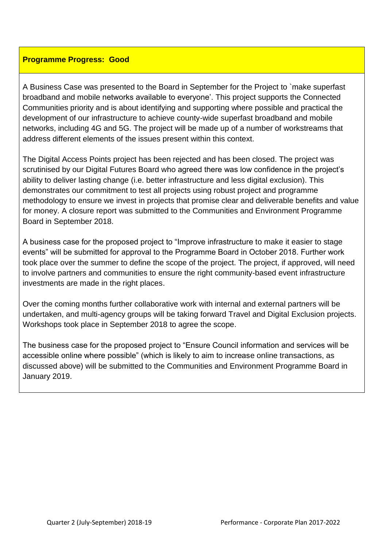#### **Programme Progress: Good**

A Business Case was presented to the Board in September for the Project to `make superfast broadband and mobile networks available to everyone'. This project supports the Connected Communities priority and is about identifying and supporting where possible and practical the development of our infrastructure to achieve county-wide superfast broadband and mobile networks, including 4G and 5G. The project will be made up of a number of workstreams that address different elements of the issues present within this context.

The Digital Access Points project has been rejected and has been closed. The project was scrutinised by our Digital Futures Board who agreed there was low confidence in the project's ability to deliver lasting change (i.e. better infrastructure and less digital exclusion). This demonstrates our commitment to test all projects using robust project and programme methodology to ensure we invest in projects that promise clear and deliverable benefits and value for money. A closure report was submitted to the Communities and Environment Programme Board in September 2018.

A business case for the proposed project to "Improve infrastructure to make it easier to stage events" will be submitted for approval to the Programme Board in October 2018. Further work took place over the summer to define the scope of the project. The project, if approved, will need to involve partners and communities to ensure the right community-based event infrastructure investments are made in the right places.

Over the coming months further collaborative work with internal and external partners will be undertaken, and multi-agency groups will be taking forward Travel and Digital Exclusion projects. Workshops took place in September 2018 to agree the scope.

The business case for the proposed project to "Ensure Council information and services will be accessible online where possible" (which is likely to aim to increase online transactions, as discussed above) will be submitted to the Communities and Environment Programme Board in January 2019.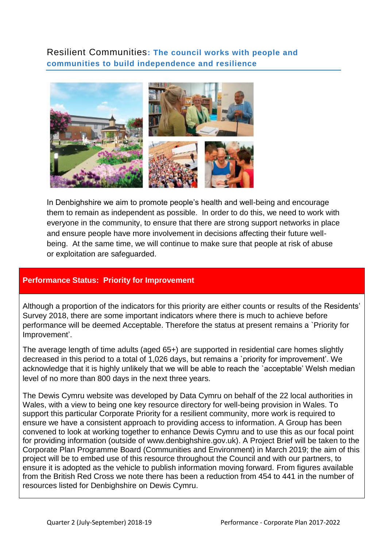<span id="page-10-0"></span>Resilient Communities**: The council works with people and communities to build independence and resilience**



In Denbighshire we aim to promote people's health and well-being and encourage them to remain as independent as possible. In order to do this, we need to work with everyone in the community, to ensure that there are strong support networks in place and ensure people have more involvement in decisions affecting their future wellbeing. At the same time, we will continue to make sure that people at risk of abuse or exploitation are safeguarded.

### **Performance Status: Priority for Improvement**

Although a proportion of the indicators for this priority are either counts or results of the Residents' Survey 2018, there are some important indicators where there is much to achieve before performance will be deemed Acceptable. Therefore the status at present remains a `Priority for Improvement'.

The average length of time adults (aged 65+) are supported in residential care homes slightly decreased in this period to a total of 1,026 days, but remains a `priority for improvement'. We acknowledge that it is highly unlikely that we will be able to reach the `acceptable' Welsh median level of no more than 800 days in the next three years.

The Dewis Cymru website was developed by Data Cymru on behalf of the 22 local authorities in Wales, with a view to being one key resource directory for well-being provision in Wales. To support this particular Corporate Priority for a resilient community, more work is required to ensure we have a consistent approach to providing access to information. A Group has been convened to look at working together to enhance Dewis Cymru and to use this as our focal point for providing information (outside of www.denbighshire.gov.uk). A Project Brief will be taken to the Corporate Plan Programme Board (Communities and Environment) in March 2019; the aim of this project will be to embed use of this resource throughout the Council and with our partners, to ensure it is adopted as the vehicle to publish information moving forward. From figures available from the British Red Cross we note there has been a reduction from 454 to 441 in the number of resources listed for Denbighshire on Dewis Cymru.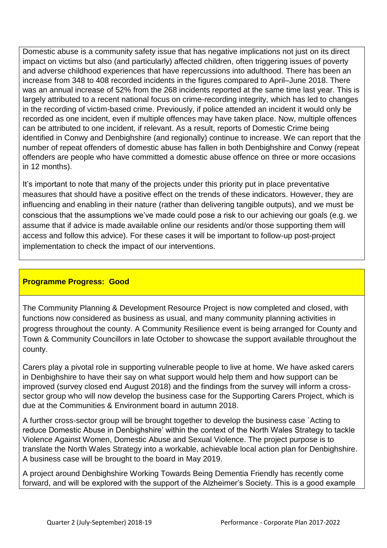Domestic abuse is a community safety issue that has negative implications not just on its direct impact on victims but also (and particularly) affected children, often triggering issues of poverty and adverse childhood experiences that have repercussions into adulthood. There has been an increase from 348 to 408 recorded incidents in the figures compared to April–June 2018. There was an annual increase of 52% from the 268 incidents reported at the same time last year. This is largely attributed to a recent national focus on crime-recording integrity, which has led to changes in the recording of victim-based crime. Previously, if police attended an incident it would only be recorded as one incident, even if multiple offences may have taken place. Now, multiple offences can be attributed to one incident, if relevant. As a result, reports of Domestic Crime being identified in Conwy and Denbighshire (and regionally) continue to increase. We can report that the number of repeat offenders of domestic abuse has fallen in both Denbighshire and Conwy (repeat offenders are people who have committed a domestic abuse offence on three or more occasions in 12 months).

It's important to note that many of the projects under this priority put in place preventative measures that should have a positive effect on the trends of these indicators. However, they are influencing and enabling in their nature (rather than delivering tangible outputs), and we must be conscious that the assumptions we've made could pose a risk to our achieving our goals (e.g. we assume that if advice is made available online our residents and/or those supporting them will access and follow this advice). For these cases it will be important to follow-up post-project implementation to check the impact of our interventions.

### **Programme Progress: Good**

The Community Planning & Development Resource Project is now completed and closed, with functions now considered as business as usual, and many community planning activities in progress throughout the county. A Community Resilience event is being arranged for County and Town & Community Councillors in late October to showcase the support available throughout the county.

Carers play a pivotal role in supporting vulnerable people to live at home. We have asked carers in Denbighshire to have their say on what support would help them and how support can be improved (survey closed end August 2018) and the findings from the survey will inform a crosssector group who will now develop the business case for the Supporting Carers Project, which is due at the Communities & Environment board in autumn 2018.

A further cross-sector group will be brought together to develop the business case `Acting to reduce Domestic Abuse in Denbighshire' within the context of the North Wales Strategy to tackle Violence Against Women, Domestic Abuse and Sexual Violence. The project purpose is to translate the North Wales Strategy into a workable, achievable local action plan for Denbighshire. A business case will be brought to the board in May 2019.

A project around Denbighshire Working Towards Being Dementia Friendly has recently come forward, and will be explored with the support of the Alzheimer's Society. This is a good example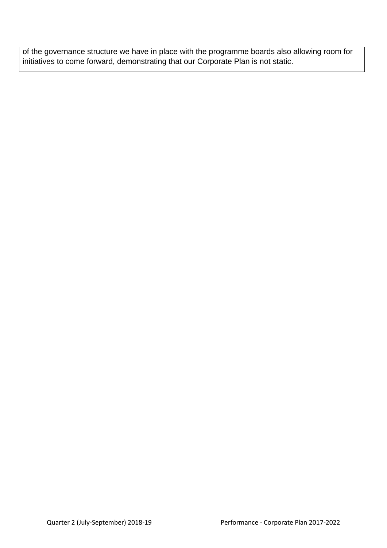of the governance structure we have in place with the programme boards also allowing room for initiatives to come forward, demonstrating that our Corporate Plan is not static.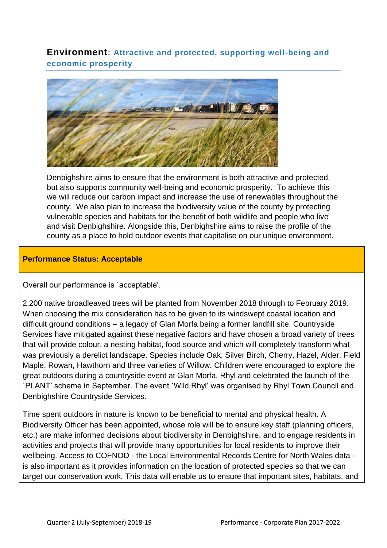<span id="page-13-0"></span>**Environment: Attractive and protected, supporting well-being and economic prosperity** 



Denbighshire aims to ensure that the environment is both attractive and protected, but also supports community well-being and economic prosperity. To achieve this we will reduce our carbon impact and increase the use of renewables throughout the county. We also plan to increase the biodiversity value of the county by protecting vulnerable species and habitats for the benefit of both wildlife and people who live and visit Denbighshire. Alongside this, Denbighshire aims to raise the profile of the county as a place to hold outdoor events that capitalise on our unique environment.

### **Performance Status: Acceptable**

Overall our performance is `acceptable'.

2,200 native broadleaved trees will be planted from November 2018 through to February 2019. When choosing the mix consideration has to be given to its windswept coastal location and difficult ground conditions – a legacy of Glan Morfa being a former landfill site. Countryside Services have mitigated against these negative factors and have chosen a broad variety of trees that will provide colour, a nesting habitat, food source and which will completely transform what was previously a derelict landscape. Species include Oak, Silver Birch, Cherry, Hazel, Alder, Field Maple, Rowan, Hawthorn and three varieties of Willow. Children were encouraged to explore the great outdoors during a countryside event at Glan Morfa, Rhyl and celebrated the launch of the `PLANT' scheme in September. The event `Wild Rhyl' was organised by Rhyl Town Council and Denbighshire Countryside Services.

Time spent outdoors in nature is known to be beneficial to mental and physical health. A Biodiversity Officer has been appointed, whose role will be to ensure key staff (planning officers, etc.) are make informed decisions about biodiversity in Denbighshire, and to engage residents in activities and projects that will provide many opportunities for local residents to improve their wellbeing. Access to COFNOD - the Local Environmental Records Centre for North Wales data is also important as it provides information on the location of protected species so that we can target our conservation work. This data will enable us to ensure that important sites, habitats, and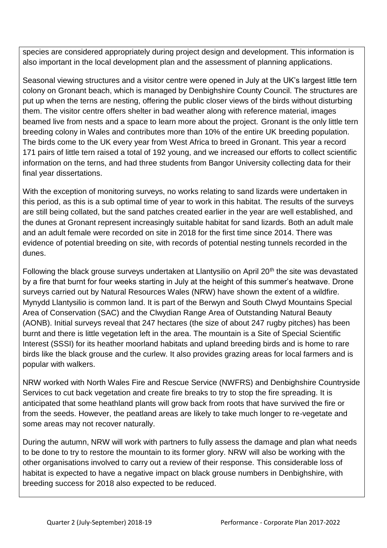species are considered appropriately during project design and development. This information is also important in the local development plan and the assessment of planning applications.

Seasonal viewing structures and a visitor centre were opened in July at the UK's largest little tern colony on Gronant beach, which is managed by Denbighshire County Council. The structures are put up when the terns are nesting, offering the public closer views of the birds without disturbing them. The visitor centre offers shelter in bad weather along with reference material, images beamed live from nests and a space to learn more about the project. Gronant is the only little tern breeding colony in Wales and contributes more than 10% of the entire UK breeding population. The birds come to the UK every year from West Africa to breed in Gronant. This year a record 171 pairs of little tern raised a total of 192 young, and we increased our efforts to collect scientific information on the terns, and had three students from Bangor University collecting data for their final year dissertations.

With the exception of monitoring surveys, no works relating to sand lizards were undertaken in this period, as this is a sub optimal time of year to work in this habitat. The results of the surveys are still being collated, but the sand patches created earlier in the year are well established, and the dunes at Gronant represent increasingly suitable habitat for sand lizards. Both an adult male and an adult female were recorded on site in 2018 for the first time since 2014. There was evidence of potential breeding on site, with records of potential nesting tunnels recorded in the dunes.

Following the black grouse surveys undertaken at Llantysilio on April 20<sup>th</sup> the site was devastated by a fire that burnt for four weeks starting in July at the height of this summer's heatwave. Drone surveys carried out by Natural Resources Wales (NRW) have shown the extent of a wildfire. Mynydd Llantysilio is common land. It is part of the Berwyn and South Clwyd Mountains Special Area of Conservation (SAC) and the Clwydian Range Area of Outstanding Natural Beauty (AONB). Initial surveys reveal that 247 hectares (the size of about 247 rugby pitches) has been burnt and there is little vegetation left in the area. The mountain is a Site of Special Scientific Interest (SSSI) for its heather moorland habitats and upland breeding birds and is home to rare birds like the black grouse and the curlew. It also provides grazing areas for local farmers and is popular with walkers.

NRW worked with North Wales Fire and Rescue Service (NWFRS) and Denbighshire Countryside Services to cut back vegetation and create fire breaks to try to stop the fire spreading. It is anticipated that some heathland plants will grow back from roots that have survived the fire or from the seeds. However, the peatland areas are likely to take much longer to re-vegetate and some areas may not recover naturally.

During the autumn, NRW will work with partners to fully assess the damage and plan what needs to be done to try to restore the mountain to its former glory. NRW will also be working with the other organisations involved to carry out a review of their response. This considerable loss of habitat is expected to have a negative impact on black grouse numbers in Denbighshire, with breeding success for 2018 also expected to be reduced.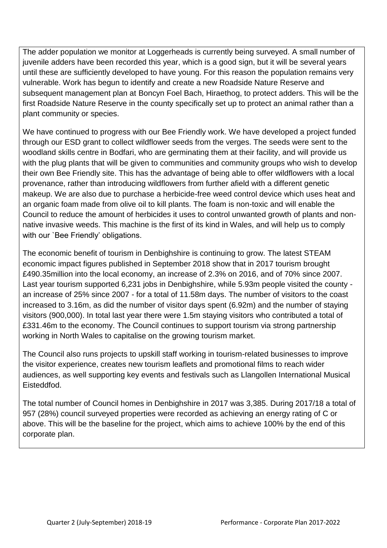The adder population we monitor at Loggerheads is currently being surveyed. A small number of juvenile adders have been recorded this year, which is a good sign, but it will be several years until these are sufficiently developed to have young. For this reason the population remains very vulnerable. Work has begun to identify and create a new Roadside Nature Reserve and subsequent management plan at Boncyn Foel Bach, Hiraethog, to protect adders. This will be the first Roadside Nature Reserve in the county specifically set up to protect an animal rather than a plant community or species.

We have continued to progress with our Bee Friendly work. We have developed a project funded through our ESD grant to collect wildflower seeds from the verges. The seeds were sent to the woodland skills centre in Bodfari, who are germinating them at their facility, and will provide us with the plug plants that will be given to communities and community groups who wish to develop their own Bee Friendly site. This has the advantage of being able to offer wildflowers with a local provenance, rather than introducing wildflowers from further afield with a different genetic makeup. We are also due to purchase a herbicide-free weed control device which uses heat and an organic foam made from olive oil to kill plants. The foam is non-toxic and will enable the Council to reduce the amount of herbicides it uses to control unwanted growth of plants and nonnative invasive weeds. This machine is the first of its kind in Wales, and will help us to comply with our `Bee Friendly' obligations.

The economic benefit of tourism in Denbighshire is continuing to grow. The latest STEAM economic impact figures published in September 2018 show that in 2017 tourism brought £490.35million into the local economy, an increase of 2.3% on 2016, and of 70% since 2007. Last year tourism supported 6,231 jobs in Denbighshire, while 5.93m people visited the county an increase of 25% since 2007 - for a total of 11.58m days. The number of visitors to the coast increased to 3.16m, as did the number of visitor days spent (6.92m) and the number of staying visitors (900,000). In total last year there were 1.5m staying visitors who contributed a total of £331.46m to the economy. The Council continues to support tourism via strong partnership working in North Wales to capitalise on the growing tourism market.

The Council also runs projects to upskill staff working in tourism-related businesses to improve the visitor experience, creates new tourism leaflets and promotional films to reach wider audiences, as well supporting key events and festivals such as Llangollen International Musical Eisteddfod.

The total number of Council homes in Denbighshire in 2017 was 3,385. During 2017/18 a total of 957 (28%) council surveyed properties were recorded as achieving an energy rating of C or above. This will be the baseline for the project, which aims to achieve 100% by the end of this corporate plan.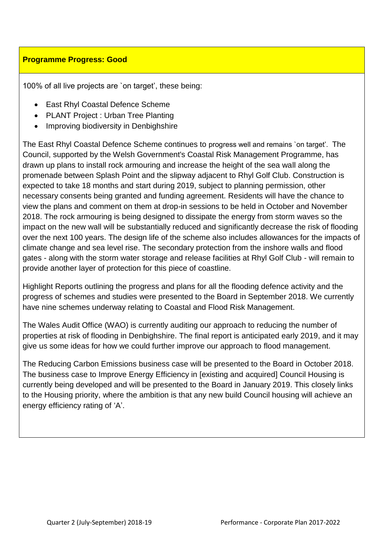### **Programme Progress: Good**

100% of all live projects are `on target', these being:

- East Rhyl Coastal Defence Scheme
- PLANT Project : Urban Tree Planting
- Improving biodiversity in Denbighshire

The East Rhyl Coastal Defence Scheme continues to progress well and remains `on target'. The Council, supported by the Welsh Government's Coastal Risk Management Programme, has drawn up plans to install rock armouring and increase the height of the sea wall along the promenade between Splash Point and the slipway adjacent to Rhyl Golf Club. Construction is expected to take 18 months and start during 2019, subject to planning permission, other necessary consents being granted and funding agreement. Residents will have the chance to view the plans and comment on them at drop-in sessions to be held in October and November 2018. The rock armouring is being designed to dissipate the energy from storm waves so the impact on the new wall will be substantially reduced and significantly decrease the risk of flooding over the next 100 years. The design life of the scheme also includes allowances for the impacts of climate change and sea level rise. The secondary protection from the inshore walls and flood gates - along with the storm water storage and release facilities at Rhyl Golf Club - will remain to provide another layer of protection for this piece of coastline.

Highlight Reports outlining the progress and plans for all the flooding defence activity and the progress of schemes and studies were presented to the Board in September 2018. We currently have nine schemes underway relating to Coastal and Flood Risk Management.

The Wales Audit Office (WAO) is currently auditing our approach to reducing the number of properties at risk of flooding in Denbighshire. The final report is anticipated early 2019, and it may give us some ideas for how we could further improve our approach to flood management.

The Reducing Carbon Emissions business case will be presented to the Board in October 2018. The business case to Improve Energy Efficiency in [existing and acquired] Council Housing is currently being developed and will be presented to the Board in January 2019. This closely links to the Housing priority, where the ambition is that any new build Council housing will achieve an energy efficiency rating of 'A'.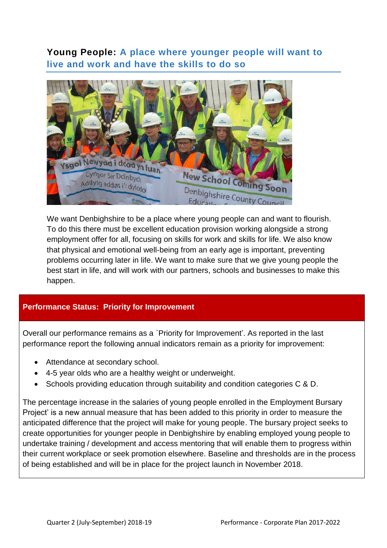## <span id="page-17-0"></span>**Young People: A place where younger people will want to live and work and have the skills to do so**



We want Denbighshire to be a place where young people can and want to flourish. To do this there must be excellent education provision working alongside a strong employment offer for all, focusing on skills for work and skills for life. We also know that physical and emotional well-being from an early age is important, preventing problems occurring later in life. We want to make sure that we give young people the best start in life, and will work with our partners, schools and businesses to make this happen.

### **Performance Status: Priority for Improvement**

Overall our performance remains as a `Priority for Improvement'. As reported in the last performance report the following annual indicators remain as a priority for improvement:

- Attendance at secondary school.
- 4-5 year olds who are a healthy weight or underweight.
- Schools providing education through suitability and condition categories C & D.

The percentage increase in the salaries of young people enrolled in the Employment Bursary Project' is a new annual measure that has been added to this priority in order to measure the anticipated difference that the project will make for young people. The bursary project seeks to create opportunities for younger people in Denbighshire by enabling employed young people to undertake training / development and access mentoring that will enable them to progress within their current workplace or seek promotion elsewhere. Baseline and thresholds are in the process of being established and will be in place for the project launch in November 2018.